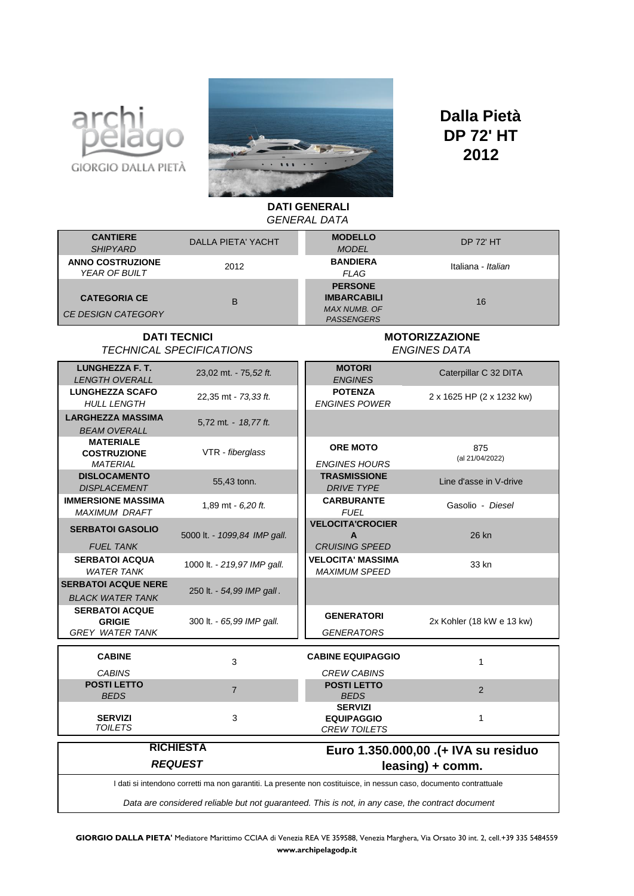



## **2012 Dalla Pietà DP 72' HT**

**DATI GENERALI** 

| <b>GENERAL DATA</b>                                                                                                |                              |                                                                                  |                           |
|--------------------------------------------------------------------------------------------------------------------|------------------------------|----------------------------------------------------------------------------------|---------------------------|
| <b>CANTIERE</b><br><b>SHIPYARD</b>                                                                                 | <b>DALLA PIETA' YACHT</b>    | <b>MODELLO</b><br><b>MODEL</b>                                                   | <b>DP 72' HT</b>          |
| <b>ANNO COSTRUZIONE</b><br>YEAR OF BUILT                                                                           | 2012                         | <b>BANDIERA</b><br><b>FLAG</b>                                                   | Italiana - Italian        |
| <b>CATEGORIA CE</b><br><b>CE DESIGN CATEGORY</b>                                                                   | B                            | <b>PERSONE</b><br><b>IMBARCABILI</b><br><b>MAX NUMB. OF</b><br><b>PASSENGERS</b> | 16                        |
| <b>DATI TECNICI</b><br><b>TECHNICAL SPECIFICATIONS</b>                                                             |                              | <b>MOTORIZZAZIONE</b><br><b>ENGINES DATA</b>                                     |                           |
| <b>LUNGHEZZA F. T.</b><br><b>LENGTH OVERALL</b>                                                                    | 23,02 mt. - 75,52 ft.        | <b>MOTORI</b><br><b>ENGINES</b>                                                  | Caterpillar C 32 DITA     |
| <b>LUNGHEZZA SCAFO</b><br><b>HULL LENGTH</b>                                                                       | 22,35 mt - 73,33 ft.         | <b>POTENZA</b><br><b>ENGINES POWER</b>                                           | 2 x 1625 HP (2 x 1232 kw) |
| <b>LARGHEZZA MASSIMA</b><br><b>BEAM OVERALL</b>                                                                    | 5,72 mt. - 18,77 ft.         |                                                                                  |                           |
| <b>MATERIALE</b><br><b>COSTRUZIONE</b><br><b>MATERIAL</b>                                                          | VTR - fiberglass             | <b>ORE MOTO</b><br><b>ENGINES HOURS</b>                                          | 875<br>(al 21/04/2022)    |
| <b>DISLOCAMENTO</b><br><b>DISPLACEMENT</b>                                                                         | 55,43 tonn.                  | <b>TRASMISSIONE</b><br><b>DRIVE TYPE</b>                                         | Line d'asse in V-drive    |
| <b>IMMERSIONE MASSIMA</b><br><b>MAXIMUM DRAFT</b>                                                                  | 1,89 mt - 6,20 ft.           | <b>CARBURANTE</b><br><b>FUEL</b>                                                 | Gasolio - Diesel          |
| <b>SERBATOI GASOLIO</b><br><b>FUEL TANK</b>                                                                        | 5000 lt. - 1099,84 IMP gall. | <b>VELOCITA'CROCIER</b><br>A<br><b>CRUISING SPEED</b>                            | 26 kn                     |
| <b>SERBATOI ACQUA</b><br><b>WATER TANK</b>                                                                         | 1000 lt. - 219,97 IMP gall.  | <b>VELOCITA' MASSIMA</b><br><b>MAXIMUM SPEED</b>                                 | 33 kn                     |
| <b>SERBATOI ACQUE NERE</b><br><b>BLACK WATER TANK</b>                                                              | 250 lt. - 54,99 IMP gall.    |                                                                                  |                           |
| <b>SERBATOI ACQUE</b><br><b>GRIGIE</b><br><b>GREY WATER TANK</b>                                                   | 300 lt. - 65,99 IMP gall.    | <b>GENERATORI</b><br>GENERATORS                                                  | 2x Kohler (18 kW e 13 kw) |
| <b>CABINE</b>                                                                                                      | 3                            | <b>CABINE EQUIPAGGIO</b>                                                         | $\mathbf{1}$              |
| <b>CABINS</b><br><b>POSTI LETTO</b><br>BEDS                                                                        | $\overline{7}$               | <b>CREW CABINS</b><br><b>POSTI LETTO</b><br><b>BEDS</b>                          | 2                         |
| <b>SERVIZI</b><br><b>TOILETS</b>                                                                                   | 3                            | <b>SERVIZI</b><br><b>EQUIPAGGIO</b><br><b>CREW TOILETS</b>                       | $\mathbf{1}$              |
| <b>RICHIESTA</b><br>Euro 1.350.000,00 .(+ IVA su residuo                                                           |                              |                                                                                  |                           |
| <b>REQUEST</b>                                                                                                     |                              | leasing) + comm.                                                                 |                           |
| I dati si intendono corretti ma non garantiti. La presente non costituisce, in nessun caso, documento contrattuale |                              |                                                                                  |                           |
| Data are considered reliable but not guaranteed. This is not, in any case, the contract document                   |                              |                                                                                  |                           |
|                                                                                                                    |                              |                                                                                  |                           |

**GIORGIO DALLA PIETA'** Mediatore Marittimo CCIAA di Venezia REA VE 359588, Venezia Marghera, Via Orsato 30 int. 2, cell.+39 335 5484559 **www.archipelagodp.it**